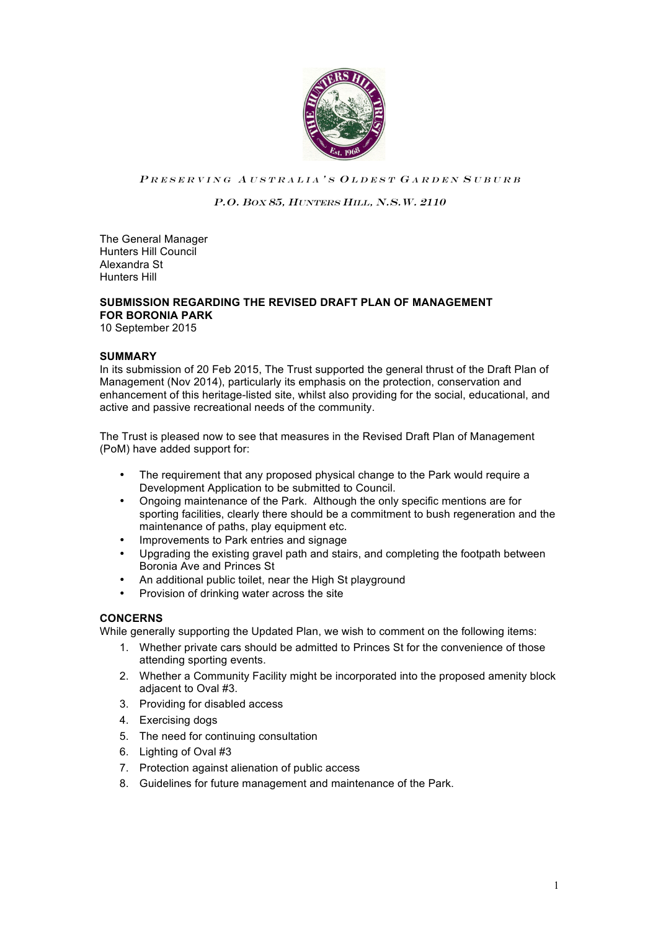

### PRESERVING AUSTRALIA'S OLDEST GARDEN SUBURB

## P.O. BOX 85, HUNTERS HILL, N.S.W. 2110

The General Manager Hunters Hill Council Alexandra St Hunters Hill

# **SUBMISSION REGARDING THE REVISED DRAFT PLAN OF MANAGEMENT FOR BORONIA PARK**

10 September 2015

### **SUMMARY**

In its submission of 20 Feb 2015, The Trust supported the general thrust of the Draft Plan of Management (Nov 2014), particularly its emphasis on the protection, conservation and enhancement of this heritage-listed site, whilst also providing for the social, educational, and active and passive recreational needs of the community.

The Trust is pleased now to see that measures in the Revised Draft Plan of Management (PoM) have added support for:

- The requirement that any proposed physical change to the Park would require a Development Application to be submitted to Council.
- Ongoing maintenance of the Park. Although the only specific mentions are for sporting facilities, clearly there should be a commitment to bush regeneration and the maintenance of paths, play equipment etc.
- Improvements to Park entries and signage
- Upgrading the existing gravel path and stairs, and completing the footpath between Boronia Ave and Princes St
- An additional public toilet, near the High St playground
- Provision of drinking water across the site

## **CONCERNS**

While generally supporting the Updated Plan, we wish to comment on the following items:

- 1. Whether private cars should be admitted to Princes St for the convenience of those attending sporting events.
- 2. Whether a Community Facility might be incorporated into the proposed amenity block adjacent to Oval #3.
- 3. Providing for disabled access
- 4. Exercising dogs
- 5. The need for continuing consultation
- 6. Lighting of Oval #3
- 7. Protection against alienation of public access
- 8. Guidelines for future management and maintenance of the Park.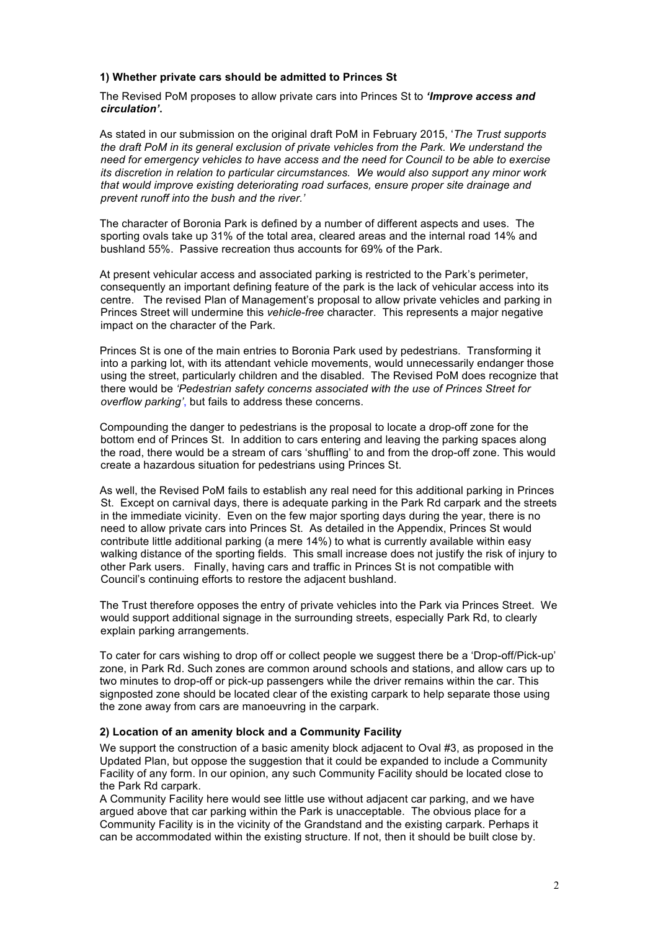### **1) Whether private cars should be admitted to Princes St**

The Revised PoM proposes to allow private cars into Princes St to *'Improve access and circulation'***.** 

As stated in our submission on the original draft PoM in February 2015, '*The Trust supports the draft PoM in its general exclusion of private vehicles from the Park. We understand the need for emergency vehicles to have access and the need for Council to be able to exercise its discretion in relation to particular circumstances. We would also support any minor work that would improve existing deteriorating road surfaces, ensure proper site drainage and prevent runoff into the bush and the river.'*

The character of Boronia Park is defined by a number of different aspects and uses. The sporting ovals take up 31% of the total area, cleared areas and the internal road 14% and bushland 55%. Passive recreation thus accounts for 69% of the Park.

At present vehicular access and associated parking is restricted to the Park's perimeter, consequently an important defining feature of the park is the lack of vehicular access into its centre. The revised Plan of Management's proposal to allow private vehicles and parking in Princes Street will undermine this *vehicle-free* character. This represents a major negative impact on the character of the Park.

Princes St is one of the main entries to Boronia Park used by pedestrians. Transforming it into a parking lot, with its attendant vehicle movements, would unnecessarily endanger those using the street, particularly children and the disabled. The Revised PoM does recognize that there would be *'Pedestrian safety concerns associated with the use of Princes Street for overflow parking'*, but fails to address these concerns.

Compounding the danger to pedestrians is the proposal to locate a drop-off zone for the bottom end of Princes St. In addition to cars entering and leaving the parking spaces along the road, there would be a stream of cars 'shuffling' to and from the drop-off zone. This would create a hazardous situation for pedestrians using Princes St.

As well, the Revised PoM fails to establish any real need for this additional parking in Princes St. Except on carnival days, there is adequate parking in the Park Rd carpark and the streets in the immediate vicinity. Even on the few major sporting days during the year, there is no need to allow private cars into Princes St. As detailed in the Appendix, Princes St would contribute little additional parking (a mere 14%) to what is currently available within easy walking distance of the sporting fields. This small increase does not justify the risk of injury to other Park users. Finally, having cars and traffic in Princes St is not compatible with Council's continuing efforts to restore the adjacent bushland.

The Trust therefore opposes the entry of private vehicles into the Park via Princes Street. We would support additional signage in the surrounding streets, especially Park Rd, to clearly explain parking arrangements.

To cater for cars wishing to drop off or collect people we suggest there be a 'Drop-off/Pick-up' zone, in Park Rd. Such zones are common around schools and stations, and allow cars up to two minutes to drop-off or pick-up passengers while the driver remains within the car. This signposted zone should be located clear of the existing carpark to help separate those using the zone away from cars are manoeuvring in the carpark.

#### **2) Location of an amenity block and a Community Facility**

We support the construction of a basic amenity block adjacent to Oval #3, as proposed in the Updated Plan, but oppose the suggestion that it could be expanded to include a Community Facility of any form. In our opinion, any such Community Facility should be located close to the Park Rd carpark.

A Community Facility here would see little use without adjacent car parking, and we have argued above that car parking within the Park is unacceptable. The obvious place for a Community Facility is in the vicinity of the Grandstand and the existing carpark. Perhaps it can be accommodated within the existing structure. If not, then it should be built close by.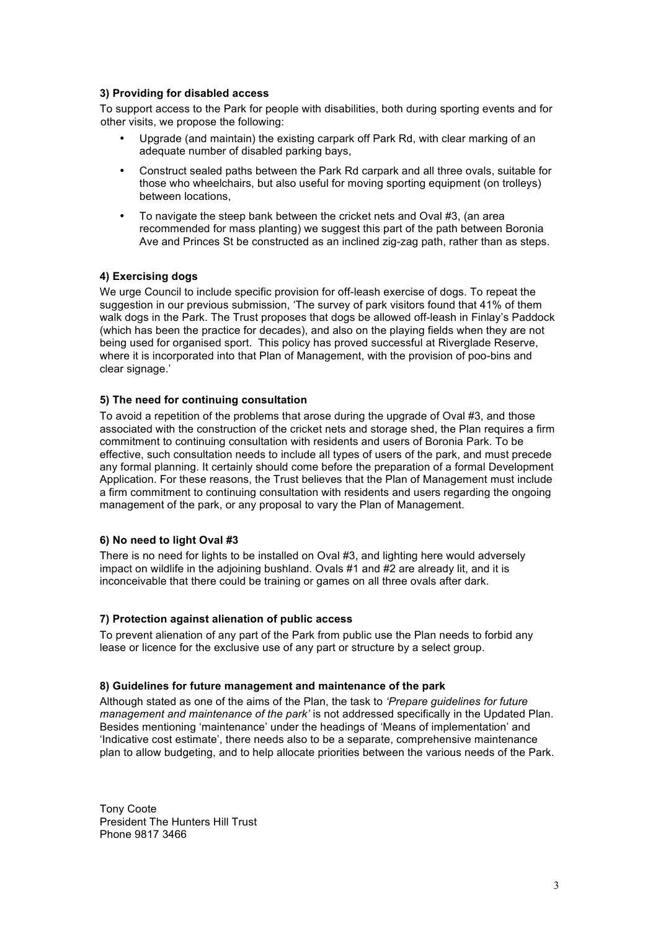### **3) Providing for disabled access**

To support access to the Park for people with disabilities, both during sporting events and for other visits, we propose the following:

- Upgrade (and maintain) the existing carpark off Park Rd, with clear marking of an adequate number of disabled parking bays,
- Construct sealed paths between the Park Rd carpark and all three ovals, suitable for those who wheelchairs, but also useful for moving sporting equipment (on trolleys) between locations,
- To navigate the steep bank between the cricket nets and Oval #3, (an area recommended for mass planting) we suggest this part of the path between Boronia Ave and Princes St be constructed as an inclined zig-zag path, rather than as steps.

### **4) Exercising dogs**

We urge Council to include specific provision for off-leash exercise of dogs. To repeat the suggestion in our previous submission, 'The survey of park visitors found that 41% of them walk dogs in the Park. The Trust proposes that dogs be allowed off-leash in Finlay's Paddock (which has been the practice for decades), and also on the playing fields when they are not being used for organised sport. This policy has proved successful at Riverglade Reserve, where it is incorporated into that Plan of Management, with the provision of poo-bins and clear signage.'

### **5) The need for continuing consultation**

To avoid a repetition of the problems that arose during the upgrade of Oval #3, and those associated with the construction of the cricket nets and storage shed, the Plan requires a firm commitment to continuing consultation with residents and users of Boronia Park. To be effective, such consultation needs to include all types of users of the park, and must precede any formal planning. It certainly should come before the preparation of a formal Development Application. For these reasons, the Trust believes that the Plan of Management must include a firm commitment to continuing consultation with residents and users regarding the ongoing management of the park, or any proposal to vary the Plan of Management.

### **6) No need to light Oval #3**

There is no need for lights to be installed on Oval #3, and lighting here would adversely impact on wildlife in the adjoining bushland. Ovals #1 and #2 are already lit, and it is inconceivable that there could be training or games on all three ovals after dark.

### **7) Protection against alienation of public access**

To prevent alienation of any part of the Park from public use the Plan needs to forbid any lease or licence for the exclusive use of any part or structure by a select group.

### **8) Guidelines for future management and maintenance of the park**

Although stated as one of the aims of the Plan, the task to *'Prepare guidelines for future management and maintenance of the park'* is not addressed specifically in the Updated Plan. Besides mentioning 'maintenance' under the headings of 'Means of implementation' and 'Indicative cost estimate', there needs also to be a separate, comprehensive maintenance plan to allow budgeting, and to help allocate priorities between the various needs of the Park.

Tony Coote President The Hunters Hill Trust Phone 9817 3466